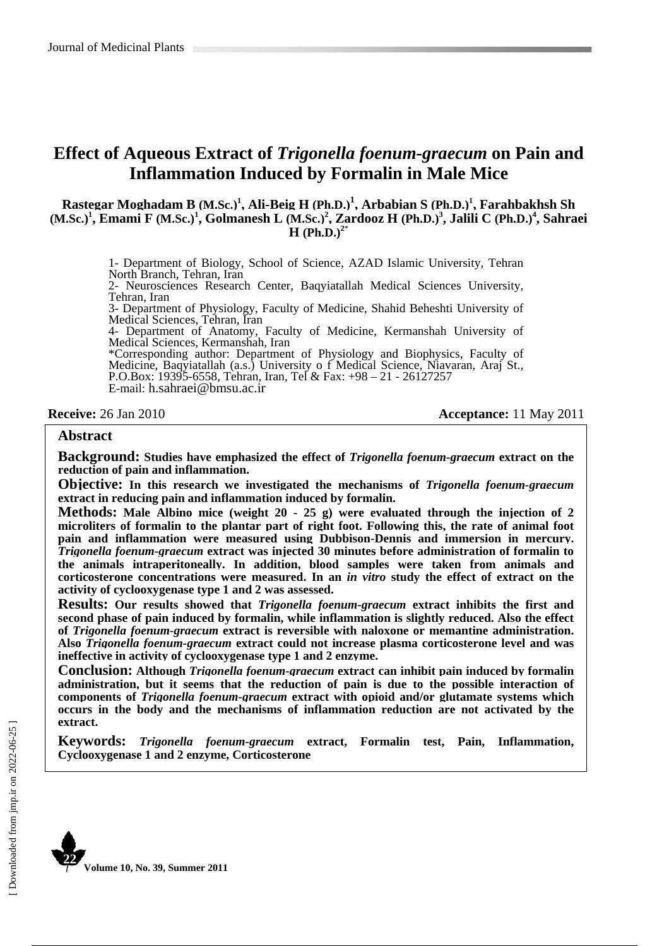### **Effect of Aqueous Extract of** *Trigonella foenum-graecum* **on Pain and Inflammation Induced by Formalin in Male Mice**

 $R$ astegar Moghadam B (M.Sc.)<sup>1</sup>, Ali-Beig H (Ph.D.)<sup>1</sup>, Arbabian S (Ph.D.)<sup>1</sup>, Farahbakhsh Sh **(M.Sc.)<sup>1</sup>, Emami F (M.Sc.)<sup>1</sup>, Golmanesh L (M.Sc.)<sup>2</sup>, Zardooz H (Ph.D.)<sup>3</sup>, Jalili C (Ph.D.)<sup>4</sup>, Sahraei H** (Ph.D.)<sup> $2*$ </sup>

> 1- Department of Biology, School of Science, AZAD Islamic University, Tehran North Branch, Tehran, Iran

> 2- Neurosciences Research Center, Baqyiatallah Medical Sciences University, Tehran, Iran

> 3- Department of Physiology, Faculty of Medicine, Shahid Beheshti University of Medical Sciences, Tehran, Iran

> 4- Department of Anatomy, Faculty of Medicine, Kermanshah University of Medical Sciences, Kermanshah, Iran

> \*Corresponding author: Department of Physiology and Biophysics, Faculty of Medicine, Baqyiatallah (a.s.) University o f Medical Science, Niavaran, Araj St., P.O.Box: 19395-6558, Tehran, Iran, Tel & Fax: +98 – 21 - 26127257 E-mail: h.sahraei@bmsu.ac.ir

**Receive:** 26 Jan 2010 **Acceptance: 11 May 2011** 

#### **Abstract**

**Background: Studies have emphasized the effect of** *Trigonella foenum-graecum* **extract on the reduction of pain and inflammation.** 

**Objective: In this research we investigated the mechanisms of** *Trigonella foenum-graecum* **extract in reducing pain and inflammation induced by formalin.** 

**Methods: Male Albino mice (weight 20 - 25 g) were evaluated through the injection of 2 microliters of formalin to the plantar part of right foot. Following this, the rate of animal foot pain and inflammation were measured using Dubbison-Dennis and immersion in mercury.** *Trigonella foenum-graecum* **extract was injected 30 minutes before administration of formalin to the animals intraperitoneally. In addition, blood samples were taken from animals and corticosterone concentrations were measured. In an** *in vitro* **study the effect of extract on the activity of cyclooxygenase type 1 and 2 was assessed.** 

**Results: Our results showed that** *Trigonella foenum-graecum* **extract inhibits the first and second phase of pain induced by formalin, while inflammation is slightly reduced. Also the effect of** *Trigonella foenum-graecum* **extract is reversible with naloxone or memantine administration. Also** *Trigonella foenum-graecum* **extract could not increase plasma corticosterone level and was ineffective in activity of cyclooxygenase type 1 and 2 enzyme.** 

**Conclusion: Although** *Trigonella foenum-graecum* **extract can inhibit pain induced by formalin administration, but it seems that the reduction of pain is due to the possible interaction of components of** *Trigonella foenum-graecum* **extract with opioid and/or glutamate systems which occurs in the body and the mechanisms of inflammation reduction are not activated by the extract.** 

**Keywords:** *Trigonella foenum-graecum* **extract, Formalin test, Pain, Inflammation, Cyclooxygenase 1 and 2 enzyme, Corticosterone**

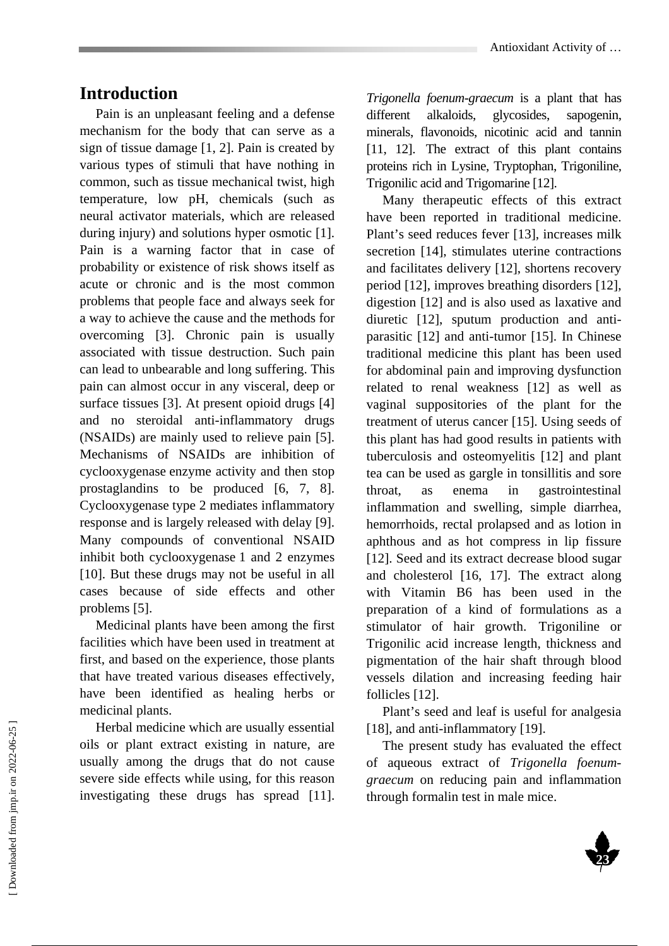### **Introduction**

Pain is an unpleasant feeling and a defense mechanism for the body that can serve as a sign of tissue damage [1, 2]. Pain is created by various types of stimuli that have nothing in common, such as tissue mechanical twist, high temperature, low pH, chemicals (such as neural activator materials, which are released during injury) and solutions hyper osmotic [1]. Pain is a warning factor that in case of probability or existence of risk shows itself as acute or chronic and is the most common problems that people face and always seek for a way to achieve the cause and the methods for overcoming [3]. Chronic pain is usually associated with tissue destruction. Such pain can lead to unbearable and long suffering. This pain can almost occur in any visceral, deep or surface tissues [3]. At present opioid drugs [4] and no steroidal anti-inflammatory drugs (NSAIDs) are mainly used to relieve pain [5]. Mechanisms of NSAIDs are inhibition of cyclooxygenase enzyme activity and then stop prostaglandins to be produced [6, 7, 8]. Cyclooxygenase type 2 mediates inflammatory response and is largely released with delay [9]. Many compounds of conventional NSAID inhibit both cyclooxygenase 1 and 2 enzymes [10]. But these drugs may not be useful in all cases because of side effects and other problems [5].

Medicinal plants have been among the first facilities which have been used in treatment at first, and based on the experience, those plants that have treated various diseases effectively, have been identified as healing herbs or medicinal plants.

Herbal medicine which are usually essential oils or plant extract existing in nature, are usually among the drugs that do not cause severe side effects while using, for this reason investigating these drugs has spread [11].

*Trigonella foenum-graecum* is a plant that has different alkaloids, glycosides, sapogenin, minerals, flavonoids, nicotinic acid and tannin [11, 12]. The extract of this plant contains proteins rich in Lysine, Tryptophan, Trigoniline, Trigonilic acid and Trigomarine [12].

Many therapeutic effects of this extract have been reported in traditional medicine. Plant's seed reduces fever [13], increases milk secretion [14], stimulates uterine contractions and facilitates delivery [12], shortens recovery period [12], improves breathing disorders [12], digestion [12] and is also used as laxative and diuretic [12], sputum production and antiparasitic [12] and anti-tumor [15]. In Chinese traditional medicine this plant has been used for abdominal pain and improving dysfunction related to renal weakness [12] as well as vaginal suppositories of the plant for the treatment of uterus cancer [15]. Using seeds of this plant has had good results in patients with tuberculosis and osteomyelitis [12] and plant tea can be used as gargle in tonsillitis and sore throat, as enema in gastrointestinal inflammation and swelling, simple diarrhea, hemorrhoids, rectal prolapsed and as lotion in aphthous and as hot compress in lip fissure [12]. Seed and its extract decrease blood sugar and cholesterol [16, 17]. The extract along with Vitamin B6 has been used in the preparation of a kind of formulations as a stimulator of hair growth. Trigoniline or Trigonilic acid increase length, thickness and pigmentation of the hair shaft through blood vessels dilation and increasing feeding hair follicles [12].

Plant's seed and leaf is useful for analgesia [18], and anti-inflammatory [19].

The present study has evaluated the effect of aqueous extract of *Trigonella foenumgraecum* on reducing pain and inflammation through formalin test in male mice.

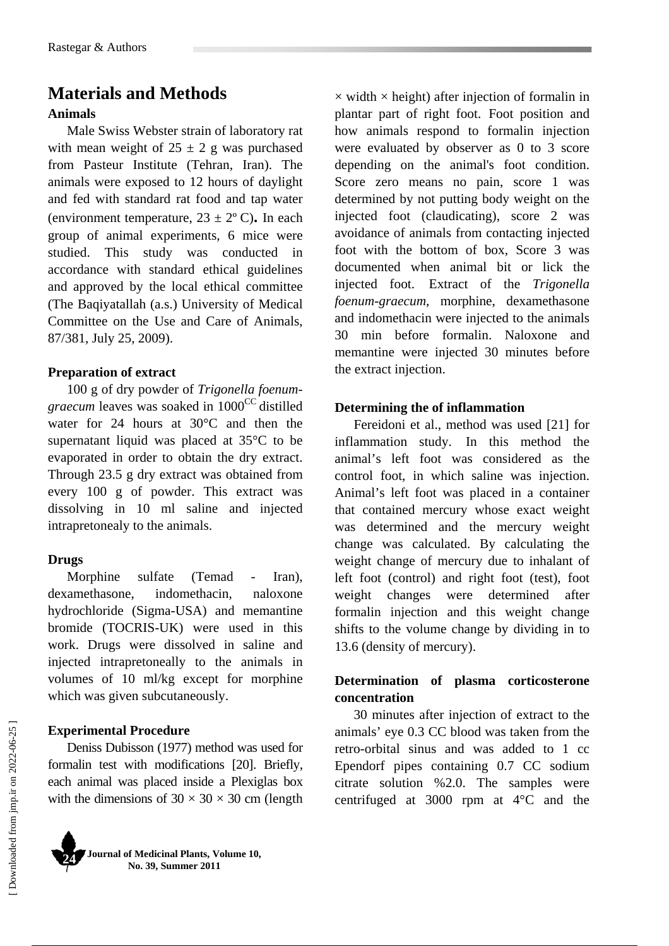### **Materials and Methods Animals**

Male Swiss Webster strain of laboratory rat with mean weight of  $25 \pm 2$  g was purchased from Pasteur Institute (Tehran, Iran). The animals were exposed to 12 hours of daylight and fed with standard rat food and tap water (environment temperature,  $23 \pm 2^{\circ}$  C). In each group of animal experiments, 6 mice were studied. This study was conducted in accordance with standard ethical guidelines and approved by the local ethical committee (The Baqiyatallah (a.s.) University of Medical Committee on the Use and Care of Animals, 87/381, July 25, 2009).

### **Preparation of extract**

100 g of dry powder of *Trigonella foenumgraecum* leaves was soaked in 1000<sup>CC</sup> distilled water for 24 hours at 30°C and then the supernatant liquid was placed at 35°C to be evaporated in order to obtain the dry extract. Through 23.5 g dry extract was obtained from every 100 g of powder. This extract was dissolving in 10 ml saline and injected intrapretonealy to the animals.

### **Drugs**

Morphine sulfate (Temad - Iran), dexamethasone, indomethacin, naloxone hydrochloride (Sigma-USA) and memantine bromide (TOCRIS-UK) were used in this work. Drugs were dissolved in saline and injected intrapretoneally to the animals in volumes of 10 ml/kg except for morphine which was given subcutaneously.

### **Experimental Procedure**

Deniss Dubisson (1977) method was used for formalin test with modifications [20]. Briefly, each animal was placed inside a Plexiglas box with the dimensions of  $30 \times 30 \times 30$  cm (length



**Journal of Medicinal Plants, Volume 10, No. 39, Summer 2011**

 $\times$  width  $\times$  height) after injection of formalin in plantar part of right foot. Foot position and how animals respond to formalin injection were evaluated by observer as 0 to 3 score depending on the animal's foot condition. Score zero means no pain, score 1 was determined by not putting body weight on the injected foot (claudicating), score 2 was avoidance of animals from contacting injected foot with the bottom of box, Score 3 was documented when animal bit or lick the injected foot. Extract of the *Trigonella foenum-graecum*, morphine, dexamethasone and indomethacin were injected to the animals 30 min before formalin. Naloxone and memantine were injected 30 minutes before the extract injection.

#### **Determining the of inflammation**

Fereidoni et al., method was used [21] for inflammation study. In this method the animal's left foot was considered as the control foot, in which saline was injection. Animal's left foot was placed in a container that contained mercury whose exact weight was determined and the mercury weight change was calculated. By calculating the weight change of mercury due to inhalant of left foot (control) and right foot (test), foot weight changes were determined after formalin injection and this weight change shifts to the volume change by dividing in to 13.6 (density of mercury).

### **Determination of plasma corticosterone concentration**

30 minutes after injection of extract to the animals' eye 0.3 CC blood was taken from the retro-orbital sinus and was added to 1 cc Ependorf pipes containing 0.7 CC sodium citrate solution %2.0. The samples were centrifuged at 3000 rpm at 4°C and the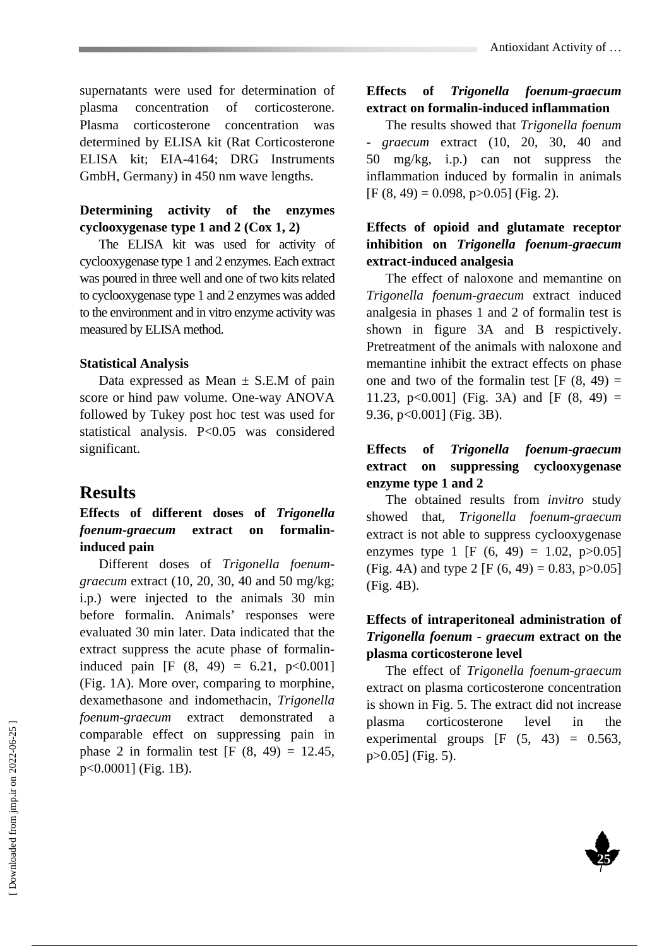supernatants were used for determination of plasma concentration of corticosterone. Plasma corticosterone concentration was determined by ELISA kit (Rat Corticosterone ELISA kit; EIA-4164; DRG Instruments GmbH, Germany) in 450 nm wave lengths.

### **Determining activity of the enzymes cyclooxygenase type 1 and 2 (Cox 1, 2)**

The ELISA kit was used for activity of cyclooxygenase type 1 and 2 enzymes. Each extract was poured in three well and one of two kits related to cyclooxygenase type 1 and 2 enzymes was added to the environment and in vitro enzyme activity was measured by ELISA method.

#### **Statistical Analysis**

Data expressed as Mean  $\pm$  S.E.M of pain score or hind paw volume. One-way ANOVA followed by Tukey post hoc test was used for statistical analysis. P<0.05 was considered significant.

### **Results**

### **Effects of different doses of** *Trigonella foenum-graecum* **extract on formalininduced pain**

Different doses of *Trigonella foenumgraecum* extract (10, 20, 30, 40 and 50 mg/kg; i.p.) were injected to the animals 30 min before formalin. Animals' responses were evaluated 30 min later. Data indicated that the extract suppress the acute phase of formalininduced pain [F  $(8, 49) = 6.21, p<0.001$ ] (Fig. 1A). More over, comparing to morphine, dexamethasone and indomethacin, *Trigonella foenum-graecum* extract demonstrated a comparable effect on suppressing pain in phase 2 in formal in test  $[F (8, 49) = 12.45]$ , p<0.0001] (Fig. 1B).

### **Effects of** *Trigonella foenum-graecum* **extract on formalin-induced inflammation**

The results showed that *Trigonella foenum - graecum* extract (10, 20, 30, 40 and 50 mg/kg, i.p.) can not suppress the inflammation induced by formalin in animals  $[F (8, 49) = 0.098, p > 0.05]$  (Fig. 2).

### **Effects of opioid and glutamate receptor inhibition on** *Trigonella foenum-graecum* **extract-induced analgesia**

The effect of naloxone and memantine on *Trigonella foenum-graecum* extract induced analgesia in phases 1 and 2 of formalin test is shown in figure 3A and B respictively. Pretreatment of the animals with naloxone and memantine inhibit the extract effects on phase one and two of the formal in test  $[F (8, 49) =$ 11.23, p<0.001] (Fig. 3A) and [F  $(8, 49)$  = 9.36, p<0.001] (Fig. 3B).

### **Effects of** *Trigonella foenum-graecum* **extract on suppressing cyclooxygenase enzyme type 1 and 2**

The obtained results from *invitro* study showed that, *Trigonella foenum-graecum* extract is not able to suppress cyclooxygenase enzymes type 1 [F  $(6, 49) = 1.02$ , p $>0.05$ ] (Fig. 4A) and type 2 [F  $(6, 49) = 0.83$ , p $>0.05$ ] (Fig. 4B).

### **Effects of intraperitoneal administration of**  *Trigonella foenum - graecum* **extract on the plasma corticosterone level**

The effect of *Trigonella foenum-graecum* extract on plasma corticosterone concentration is shown in Fig. 5. The extract did not increase plasma corticosterone level in the experimental groups  $[F (5, 43) = 0.563]$ p>0.05] (Fig. 5).

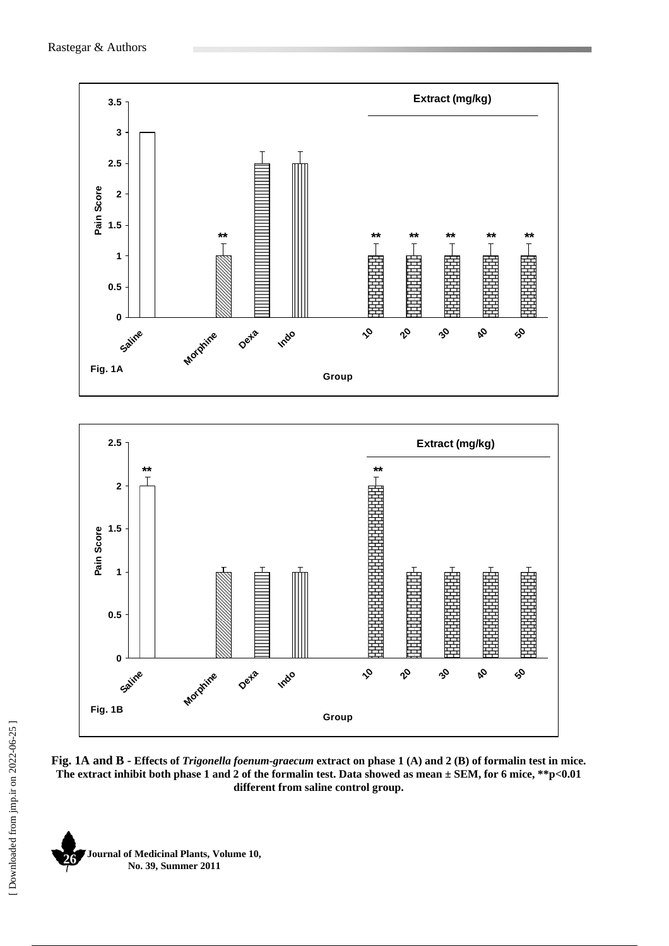

**Fig. 1A and B - Effects of** *Trigonella foenum-graecum* **extract on phase 1 (A) and 2 (B) of formalin test in mice. The extract inhibit both phase 1 and 2 of the formalin test. Data showed as mean ± SEM, for 6 mice, \*\*p<0.01 different from saline control group.** 

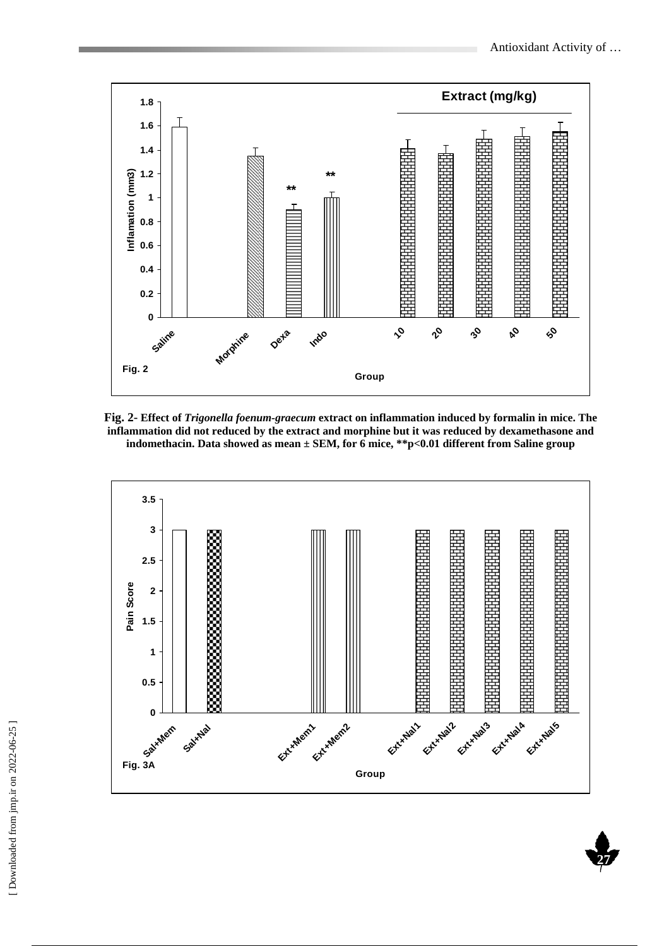**27** 



**Fig. 2- Effect of** *Trigonella foenum-graecum* **extract on inflammation induced by formalin in mice. The inflammation did not reduced by the extract and morphine but it was reduced by dexamethasone and indomethacin. Data showed as mean ± SEM, for 6 mice, \*\*p<0.01 different from Saline group** 

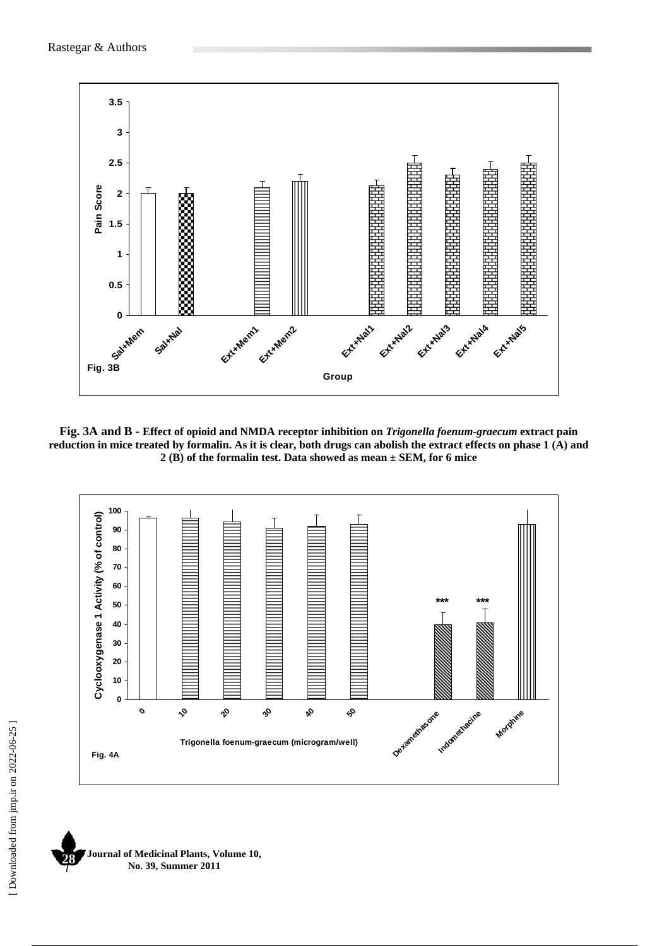

**Fig. 3A and B - Effect of opioid and NMDA receptor inhibition on** *Trigonella foenum-graecum* **extract pain reduction in mice treated by formalin. As it is clear, both drugs can abolish the extract effects on phase 1 (A) and 2 (B) of the formalin test. Data showed as mean ± SEM, for 6 mice** 



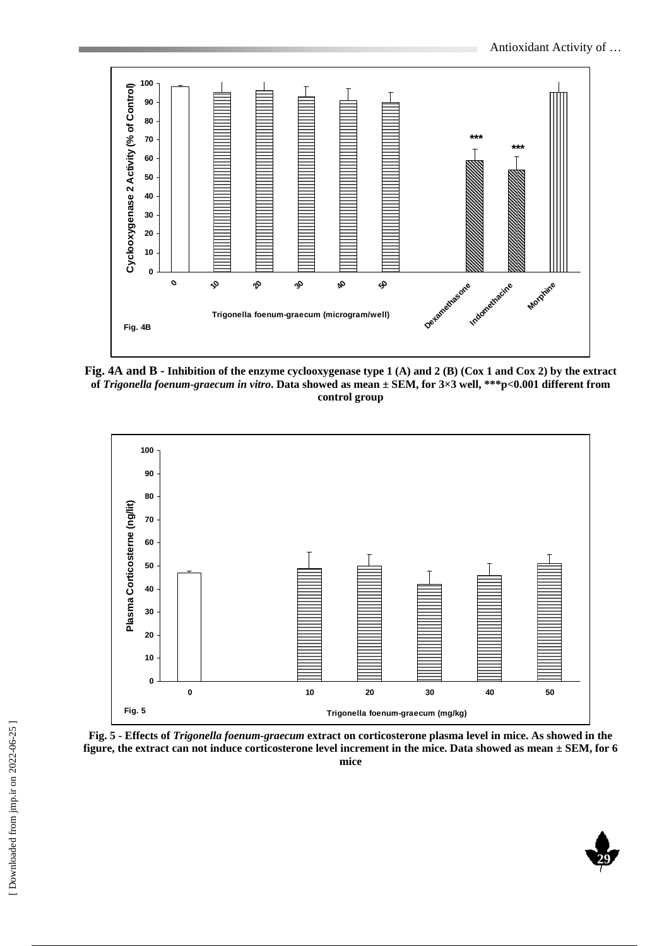

**Fig. 4A and B - Inhibition of the enzyme cyclooxygenase type 1 (A) and 2 (B) (Cox 1 and Cox 2) by the extract of** *Trigonella foenum-graecum in vitro***. Data showed as mean ± SEM, for 3×3 well, \*\*\*p<0.001 different from control group** 



**Fig. 5 - Effects of** *Trigonella foenum-graecum* **extract on corticosterone plasma level in mice. As showed in the figure, the extract can not induce corticosterone level increment in the mice. Data showed as mean ± SEM, for 6 mice** 

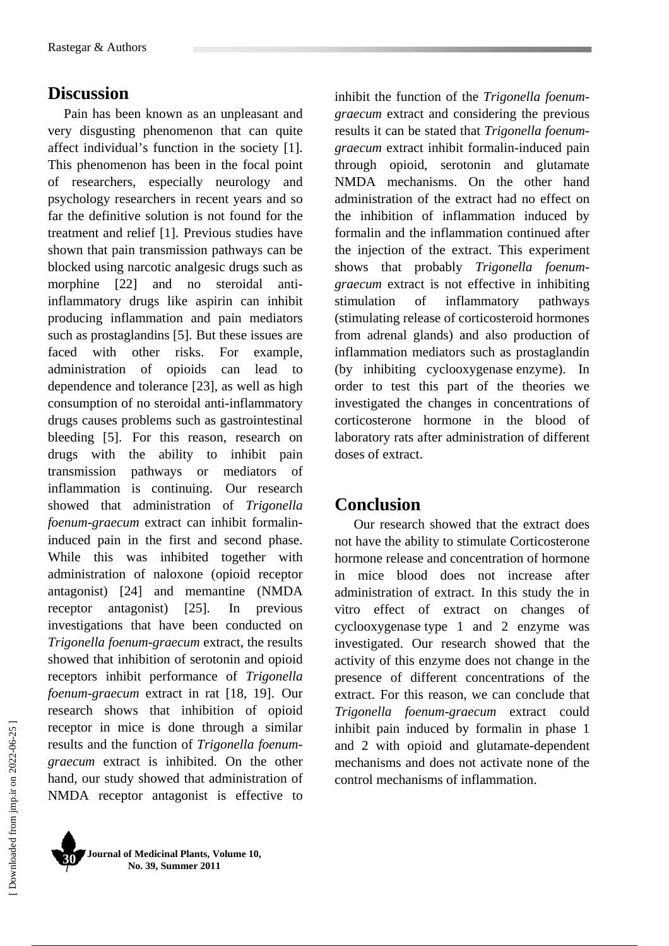### **Discussion**

Pain has been known as an unpleasant and very disgusting phenomenon that can quite affect individual's function in the society [1]. This phenomenon has been in the focal point of researchers, especially neurology and psychology researchers in recent years and so far the definitive solution is not found for the treatment and relief [1]. Previous studies have shown that pain transmission pathways can be blocked using narcotic analgesic drugs such as morphine [22] and no steroidal antiinflammatory drugs like aspirin can inhibit producing inflammation and pain mediators such as prostaglandins [5]. But these issues are faced with other risks. For example, administration of opioids can lead to dependence and tolerance [23], as well as high consumption of no steroidal anti-inflammatory drugs causes problems such as gastrointestinal bleeding [5]. For this reason, research on drugs with the ability to inhibit pain transmission pathways or mediators of inflammation is continuing. Our research showed that administration of *Trigonella foenum-graecum* extract can inhibit formalininduced pain in the first and second phase. While this was inhibited together with administration of naloxone (opioid receptor antagonist) [24] and memantine (NMDA receptor antagonist) [25]. In previous investigations that have been conducted on *Trigonella foenum-graecum* extract, the results showed that inhibition of serotonin and opioid receptors inhibit performance of *Trigonella foenum-graecum* extract in rat [18, 19]. Our research shows that inhibition of opioid receptor in mice is done through a similar results and the function of *Trigonella foenumgraecum* extract is inhibited. On the other hand, our study showed that administration of NMDA receptor antagonist is effective to

inhibit the function of the *Trigonella foenumgraecum* extract and considering the previous results it can be stated that *Trigonella foenumgraecum* extract inhibit formalin-induced pain through opioid, serotonin and glutamate NMDA mechanisms. On the other hand administration of the extract had no effect on the inhibition of inflammation induced by formalin and the inflammation continued after the injection of the extract. This experiment shows that probably *Trigonella foenumgraecum* extract is not effective in inhibiting stimulation of inflammatory pathways (stimulating release of corticosteroid hormones from adrenal glands) and also production of inflammation mediators such as prostaglandin (by inhibiting cyclooxygenase enzyme). In order to test this part of the theories we investigated the changes in concentrations of corticosterone hormone in the blood of laboratory rats after administration of different doses of extract.

### **Conclusion**

Our research showed that the extract does not have the ability to stimulate Corticosterone hormone release and concentration of hormone in mice blood does not increase after administration of extract. In this study the in vitro effect of extract on changes of cyclooxygenase type 1 and 2 enzyme was investigated. Our research showed that the activity of this enzyme does not change in the presence of different concentrations of the extract. For this reason, we can conclude that *Trigonella foenum-graecum* extract could inhibit pain induced by formalin in phase 1 and 2 with opioid and glutamate-dependent mechanisms and does not activate none of the control mechanisms of inflammation.



**Journal of Medicinal Plants, Volume 10, No. 39, Summer 2011 30**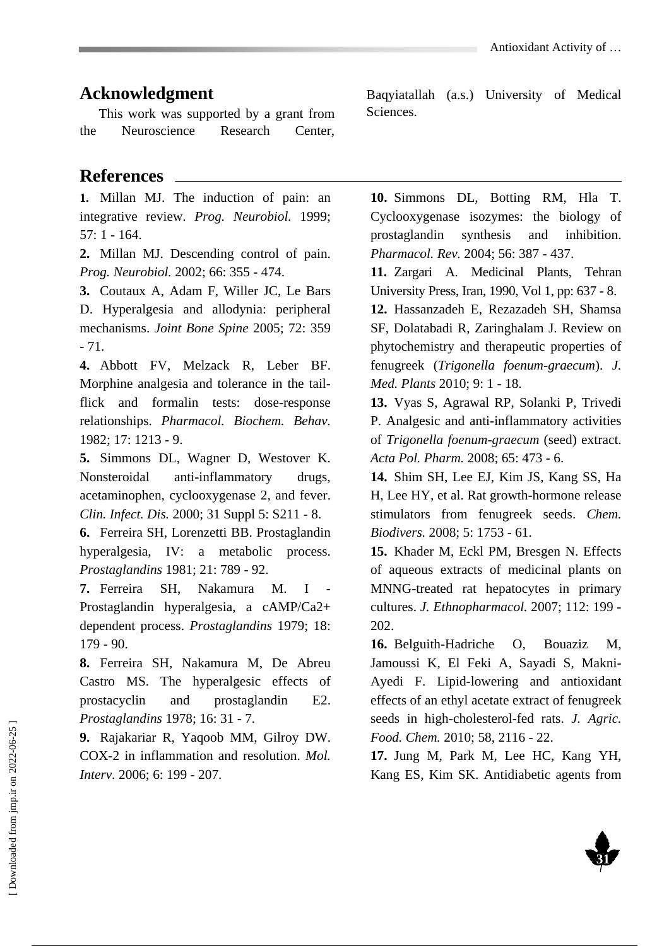## **Acknowledgment**

This work was supported by a grant from the Neuroscience Research Center,

# **References**

**1.** Millan MJ. The induction of pain: an integrative review. *Prog. Neurobiol.* 1999; 57: 1 - 164.

**2.** Millan MJ. Descending control of pain. *Prog. Neurobiol.* 2002; 66: 355 - 474.

**3.** Coutaux A, Adam F, Willer JC, Le Bars D. Hyperalgesia and allodynia: peripheral mechanisms. *Joint Bone Spine* 2005; 72: 359 - 71.

**4.** Abbott FV, Melzack R, Leber BF. Morphine analgesia and tolerance in the tailflick and formalin tests: dose-response relationships. *Pharmacol. Biochem. Behav.* 1982; 17: 1213 - 9.

**5.** Simmons DL, Wagner D, Westover K. Nonsteroidal anti-inflammatory drugs, acetaminophen, cyclooxygenase 2, and fever. *Clin. Infect. Dis.* 2000; 31 Suppl 5: S211 - 8.

**6.** Ferreira SH, Lorenzetti BB. Prostaglandin hyperalgesia, IV: a metabolic process. *Prostaglandins* 1981; 21: 789 - 92.

**7.** Ferreira SH, Nakamura M. I - Prostaglandin hyperalgesia, a cAMP/Ca2+ dependent process. *Prostaglandins* 1979; 18: 179 - 90.

**8.** Ferreira SH, Nakamura M, De Abreu Castro MS. The hyperalgesic effects of prostacyclin and prostaglandin E2. *Prostaglandins* 1978; 16: 31 - 7.

**9.** Rajakariar R, Yaqoob MM, Gilroy DW. COX-2 in inflammation and resolution. *Mol. Interv.* 2006; 6: 199 - 207.

Baqyiatallah (a.s.) University of Medical Sciences.

**10.** Simmons DL, Botting RM, Hla T. Cyclooxygenase isozymes: the biology of prostaglandin synthesis and inhibition. *Pharmacol. Rev.* 2004; 56: 387 - 437.

**11.** Zargari A. Medicinal Plants, Tehran University Press, Iran, 1990, Vol 1, pp: 637 - 8.

**12.** Hassanzadeh E, Rezazadeh SH, Shamsa SF, Dolatabadi R, Zaringhalam J. Review on phytochemistry and therapeutic properties of fenugreek (*Trigonella foenum-graecum*). *J. Med. Plants* 2010; 9: 1 - 18.

**13.** Vyas S, Agrawal RP, Solanki P, Trivedi P. Analgesic and anti-inflammatory activities of *Trigonella foenum-graecum* (seed) extract. *Acta Pol. Pharm.* 2008; 65: 473 - 6.

**14.** Shim SH, Lee EJ, Kim JS, Kang SS, Ha H, Lee HY, et al. Rat growth-hormone release stimulators from fenugreek seeds. *Chem. Biodivers.* 2008; 5: 1753 - 61.

**15.** Khader M, Eckl PM, Bresgen N. Effects of aqueous extracts of medicinal plants on MNNG-treated rat hepatocytes in primary cultures. *J. Ethnopharmacol.* 2007; 112: 199 - 202.

**16.** Belguith-Hadriche O, Bouaziz M, Jamoussi K, El Feki A, Sayadi S, Makni-Ayedi F. Lipid-lowering and antioxidant effects of an ethyl acetate extract of fenugreek seeds in high-cholesterol-fed rats. *J. Agric. Food. Chem.* 2010; 58, 2116 - 22.

**17.** Jung M, Park M, Lee HC, Kang YH, Kang ES, Kim SK. Antidiabetic agents from